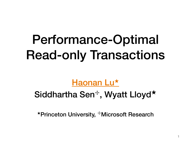# Performance-Optimal Read-only Transactions

#### Haonan Lu<sup>★</sup>

#### Siddhartha Sen<sup>+</sup>, Wyatt Lloyd<sup>★</sup>

★Princeton University, ✢Microsoft Research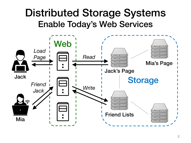### Distributed Storage Systems Enable Today's Web Services

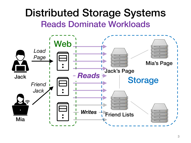#### Distributed Storage Systems Reads Dominate Workloads

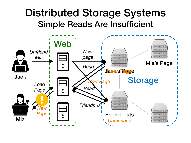### Distributed Storage Systems Simple Reads Are Insufficient

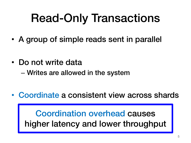## Read-Only Transactions

- A group of simple reads sent in parallel
- Do not write data
	- Writes are allowed in the system
- Coordinate a consistent view across shards

Coordination overhead causes higher latency and lower throughput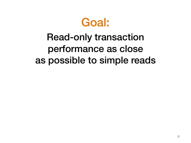

### Read-only transaction performance as close as possible to simple reads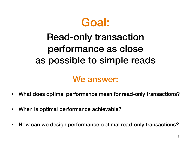

### Read-only transaction performance as close as possible to simple reads

#### We answer:

- What does optimal performance mean for read-only transactions?
- When is optimal performance achievable?
- How can we design performance-optimal read-only transactions?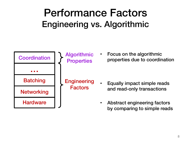### Performance Factors Engineering vs. Algorithmic

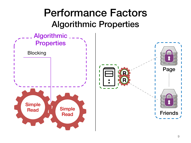### Performance Factors Algorithmic Properties

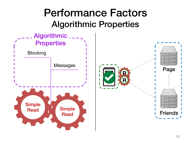### Performance Factors Algorithmic Properties

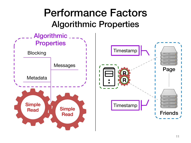### Performance Factors Algorithmic Properties

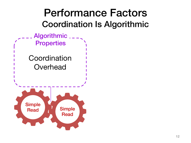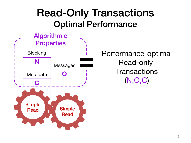### Read-Only Transactions Optimal Performance



Performance-optimal Read-only **Transactions** (N,O,C)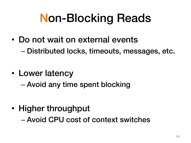## Non-Blocking Reads

- Do not wait on external events – Distributed locks, timeouts, messages, etc.
- Lower latency
	- Avoid any time spent blocking
- Higher throughput – Avoid CPU cost of context switches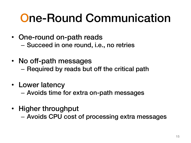## One-Round Communication

- One-round on-path reads – Succeed in one round, i.e., no retries
- No off-path messages – Required by reads but off the critical path
- Lower latency

– Avoids time for extra on-path messages

• Higher throughput

– Avoids CPU cost of processing extra messages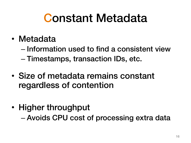### Constant Metadata

- Metadata
	- Information used to find a consistent view
	- Timestamps, transaction IDs, etc.
- Size of metadata remains constant regardless of contention
- Higher throughput – Avoids CPU cost of processing extra data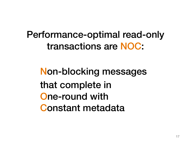Performance-optimal read-only transactions are NOC:

Non-blocking messages that complete in One-round with Constant metadata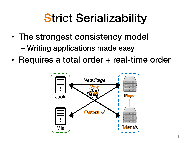## **Strict Serializability**

- The strongest consistency model – Writing applications made easy
- Requires a total order + real-time order

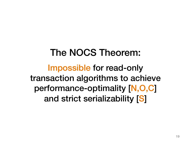### The NOCS Theorem: Impossible for read-only transaction algorithms to achieve performance-optimality [N,O,C] and strict serializability [S]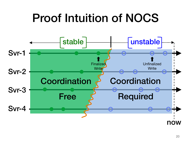### Proof Intuition of NOCS

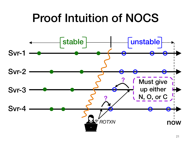## Proof Intuition of NOCS

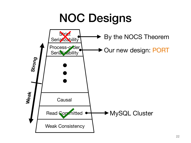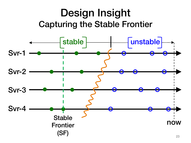### Design Insight Capturing the Stable Frontier

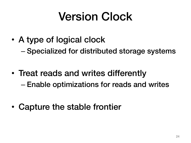## Version Clock

• A type of logical clock

– Specialized for distributed storage systems

- Treat reads and writes differently – Enable optimizations for reads and writes
- Capture the stable frontier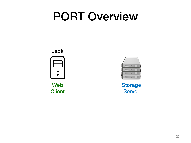### PORT Overview



Web **Client** 



**Storage** Server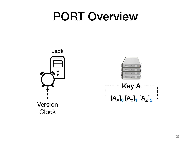### PORT Overview

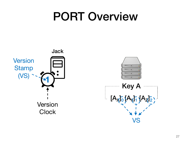### PORT Overview

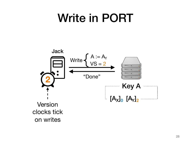### Write in PORT

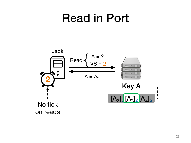### Read in Port

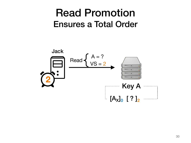### Read Promotion Ensures a Total Order

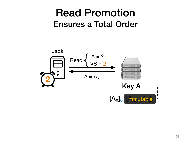### Read Promotion Ensures a Total Order

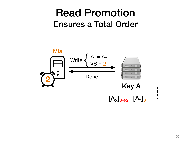### Read Promotion Ensures a Total Order

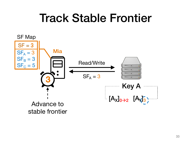### Track Stable Frontier

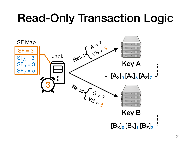# Read-Only Transaction Logic

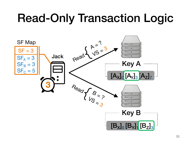# Read-Only Transaction Logic

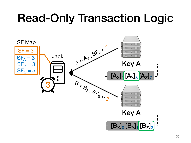# Read-Only Transaction Logic

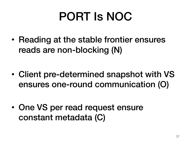## PORT Is NOC

• Reading at the stable frontier ensures reads are non-blocking (N)

- Client pre-determined snapshot with VS ensures one-round communication (O)
- One VS per read request ensure constant metadata (C)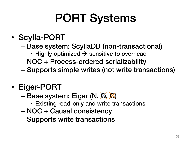# PORT Systems

#### • Scylla-PORT

- Base system: ScyllaDB (non-transactional)
	- Highly optimized  $\rightarrow$  sensitive to overhead
- NOC + Process-ordered serializability
- Supports simple writes (not write transactions)

#### • Eiger-PORT

- Base system: Eiger (N,  $\mathfrak{A}, \mathfrak{B}$ )
	- Existing read-only and write transactions
- NOC + Causal consistency
- Supports write transactions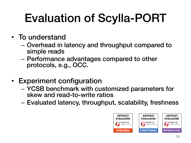# Evaluation of Scylla-PORT

- To understand
	- Overhead in latency and throughput compared to simple reads
	- Performance advantages compared to other protocols, e.g., OCC.
- Experiment configuration
	- YCSB benchmark with customized parameters for skew and read-to-write ratios
	- Evaluated latency, throughput, scalability, freshness

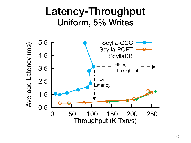### Latency-Throughput Uniform, 5% Writes

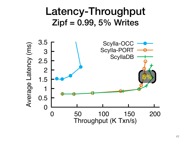#### Latency-Throughput  $Zipf = 0.99, 5\%$  Writes